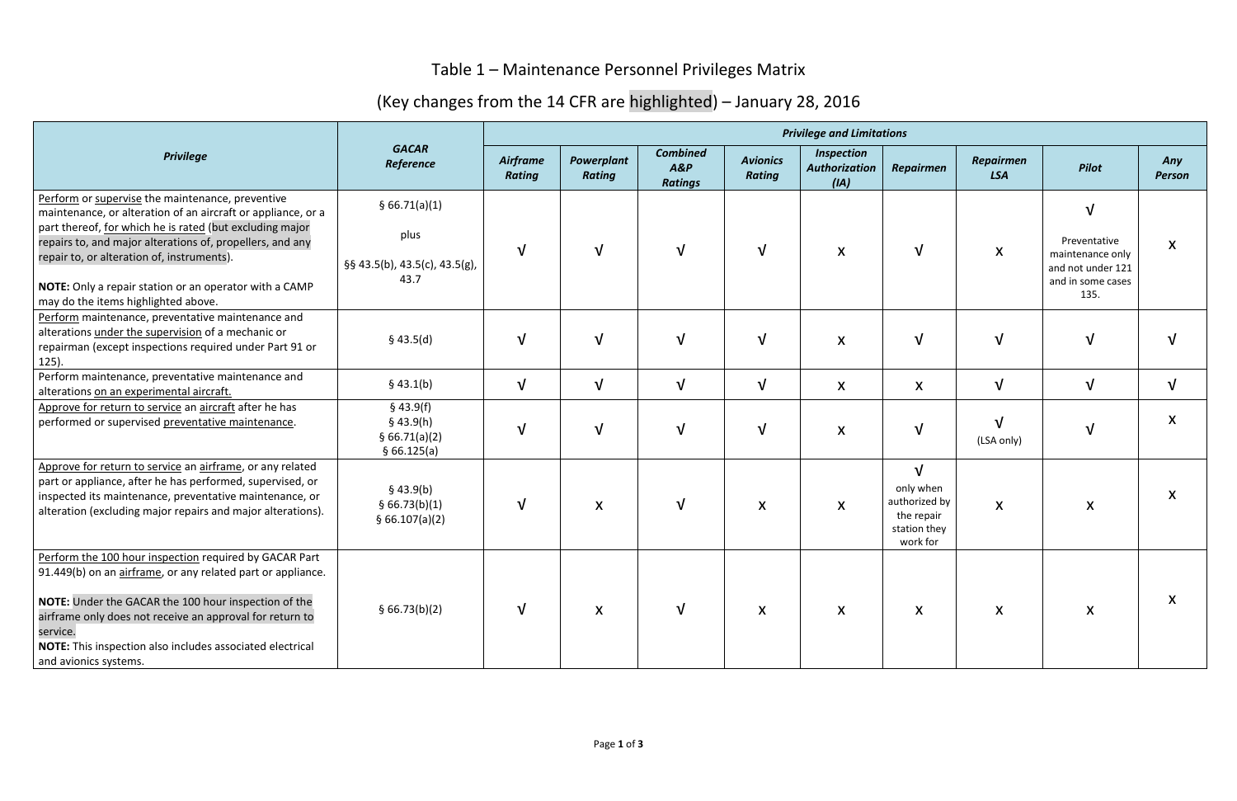## Table 1 – Maintenance Personnel Privileges Matrix

## (Key changes from the 14 CFR are highlighted) – January 28, 2016

| <b>Privilege</b>                                                                                                                                                                                                                                                                                                                                                                         | <b>GACAR</b><br>Reference                                      | <b>Privilege and Limitations</b> |                             |                                          |                                  |                                                   |                                                                                    |                                |                                                                                    |                           |  |
|------------------------------------------------------------------------------------------------------------------------------------------------------------------------------------------------------------------------------------------------------------------------------------------------------------------------------------------------------------------------------------------|----------------------------------------------------------------|----------------------------------|-----------------------------|------------------------------------------|----------------------------------|---------------------------------------------------|------------------------------------------------------------------------------------|--------------------------------|------------------------------------------------------------------------------------|---------------------------|--|
|                                                                                                                                                                                                                                                                                                                                                                                          |                                                                | Airframe<br><b>Rating</b>        | Powerplant<br><b>Rating</b> | <b>Combined</b><br>A&P<br><b>Ratings</b> | <b>Avionics</b><br><b>Rating</b> | <b>Inspection</b><br><b>Authorization</b><br>(IA) | <b>Repairmen</b>                                                                   | <b>Repairmen</b><br><b>LSA</b> | Pilot                                                                              | Any<br><b>Person</b>      |  |
| Perform or supervise the maintenance, preventive<br>maintenance, or alteration of an aircraft or appliance, or a<br>part thereof, for which he is rated (but excluding major<br>repairs to, and major alterations of, propellers, and any<br>repair to, or alteration of, instruments).<br>NOTE: Only a repair station or an operator with a CAMP<br>may do the items highlighted above. | § 66.71(a)(1)<br>plus<br>§§ 43.5(b), 43.5(c), 43.5(g),<br>43.7 | $\sqrt{ }$                       | $\sqrt{ }$                  | $\sqrt{ }$                               | $\mathbf v$                      | $\boldsymbol{X}$                                  | $\sqrt{ }$                                                                         | $\boldsymbol{\mathsf{X}}$      | Preventative<br>maintenance only<br>and not under 121<br>and in some cases<br>135. | $\boldsymbol{\mathsf{X}}$ |  |
| Perform maintenance, preventative maintenance and<br>alterations under the supervision of a mechanic or<br>repairman (except inspections required under Part 91 or<br>$125$ ).                                                                                                                                                                                                           | $§$ 43.5(d)                                                    | $\sqrt{ }$                       | $\sqrt{ }$                  | $\sqrt{ }$                               | $\sqrt{ }$                       | X                                                 | $\sqrt{ }$                                                                         | $\sqrt{ }$                     | $\sqrt{ }$                                                                         |                           |  |
| Perform maintenance, preventative maintenance and<br>alterations on an experimental aircraft.                                                                                                                                                                                                                                                                                            | \$43.1(b)                                                      | $\sqrt{ }$                       | $\sqrt{ }$                  | $\sqrt{ }$                               | $\sqrt{ }$                       | $\boldsymbol{\mathsf{X}}$                         | $\boldsymbol{X}$                                                                   | $\sqrt{ }$                     | $\sqrt{ }$                                                                         | $\sqrt{ }$                |  |
| Approve for return to service an aircraft after he has<br>performed or supervised preventative maintenance.                                                                                                                                                                                                                                                                              | $§$ 43.9(f)<br>$§$ 43.9(h)<br>§ 66.71(a)(2)<br>§66.125(a)      | $\sqrt{ }$                       | $\sqrt{ }$                  | $\sqrt{ }$                               | $\sqrt{ }$                       | $\pmb{\mathsf{X}}$                                | $\sqrt{ }$                                                                         | $\sqrt{ }$<br>(LSA only)       | $\sqrt{}$                                                                          | X                         |  |
| Approve for return to service an airframe, or any related<br>part or appliance, after he has performed, supervised, or<br>inspected its maintenance, preventative maintenance, or<br>alteration (excluding major repairs and major alterations).                                                                                                                                         | \$43.9(b)<br>§ 66.73(b)(1)<br>§ 66.107(a)(2)                   | $\sqrt{ }$                       | $\pmb{\mathsf{X}}$          | $\sqrt{ }$                               | $\boldsymbol{\mathsf{X}}$        | $\boldsymbol{\mathsf{X}}$                         | $\sqrt{ }$<br>only when<br>authorized by<br>the repair<br>station they<br>work for | $\boldsymbol{\mathsf{X}}$      | $\boldsymbol{\mathsf{X}}$                                                          | X                         |  |
| Perform the 100 hour inspection required by GACAR Part<br>91.449(b) on an airframe, or any related part or appliance.<br>NOTE: Under the GACAR the 100 hour inspection of the<br>airframe only does not receive an approval for return to<br>service.<br>NOTE: This inspection also includes associated electrical<br>and avionics systems.                                              | § 66.73(b)(2)                                                  |                                  | X                           | $\sqrt{ }$                               | $\boldsymbol{X}$                 | X                                                 | X                                                                                  | X                              | X                                                                                  | X                         |  |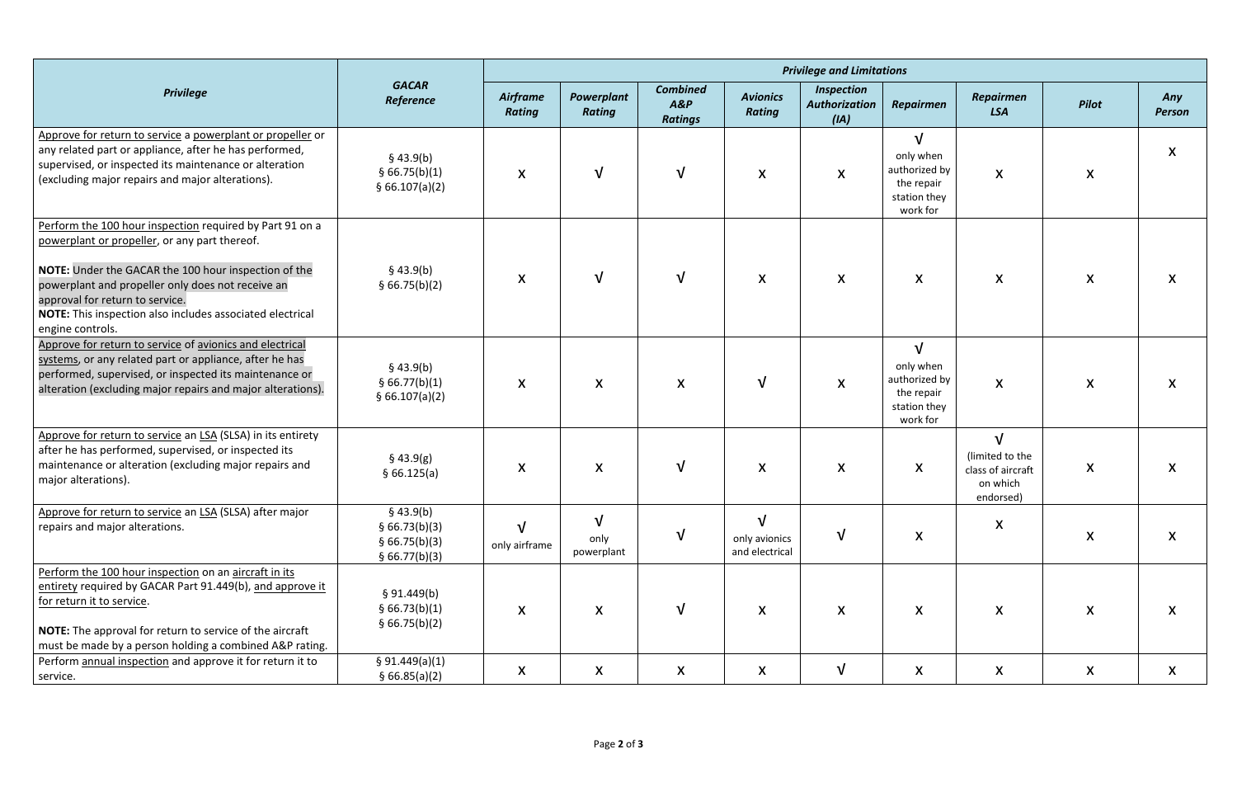| <b>Privilege</b>                                                                                                                                                                                                                                                                                                                           | <b>GACAR</b><br>Reference                                    | <b>Privilege and Limitations</b> |                                   |                                             |                                  |                                                   |                                                                                    |                                                                             |                  |                           |  |
|--------------------------------------------------------------------------------------------------------------------------------------------------------------------------------------------------------------------------------------------------------------------------------------------------------------------------------------------|--------------------------------------------------------------|----------------------------------|-----------------------------------|---------------------------------------------|----------------------------------|---------------------------------------------------|------------------------------------------------------------------------------------|-----------------------------------------------------------------------------|------------------|---------------------------|--|
|                                                                                                                                                                                                                                                                                                                                            |                                                              | Airframe<br><b>Rating</b>        | Powerplant<br><b>Rating</b>       | <b>Combined</b><br>$A\&P$<br><b>Ratings</b> | <b>Avionics</b><br><b>Rating</b> | <b>Inspection</b><br><b>Authorization</b><br>(IA) | <b>Repairmen</b>                                                                   | <b>Repairmen</b><br><b>LSA</b>                                              | <b>Pilot</b>     | Any<br><b>Person</b>      |  |
| Approve for return to service a powerplant or propeller or<br>any related part or appliance, after he has performed,<br>supervised, or inspected its maintenance or alteration<br>(excluding major repairs and major alterations).                                                                                                         | $§$ 43.9(b)<br>§ 66.75(b)(1)<br>\$66.107(a)(2)               | X                                | $\sqrt{ }$                        | $\sqrt{ }$                                  | X                                | $\boldsymbol{X}$                                  | $\sqrt{ }$<br>only when<br>authorized by<br>the repair<br>station they<br>work for | X                                                                           | X                | X                         |  |
| Perform the 100 hour inspection required by Part 91 on a<br>powerplant or propeller, or any part thereof.<br>NOTE: Under the GACAR the 100 hour inspection of the<br>powerplant and propeller only does not receive an<br>approval for return to service.<br>NOTE: This inspection also includes associated electrical<br>engine controls. | $§$ 43.9(b)<br>§ 66.75(b)(2)                                 | X                                | $\sqrt{ }$                        | $\sqrt{ }$                                  | $\boldsymbol{X}$                 | $\boldsymbol{\mathsf{X}}$                         | X                                                                                  | $\boldsymbol{\mathsf{X}}$                                                   | $\boldsymbol{X}$ | $\boldsymbol{\mathsf{X}}$ |  |
| Approve for return to service of avionics and electrical<br>systems, or any related part or appliance, after he has<br>performed, supervised, or inspected its maintenance or<br>alteration (excluding major repairs and major alterations).                                                                                               | $§$ 43.9(b)<br>§ 66.77(b)(1)<br>§ 66.107(a)(2)               | X                                | X                                 | X                                           | $\mathbf v$                      | $\boldsymbol{\mathsf{X}}$                         | $\sqrt{ }$<br>only when<br>authorized by<br>the repair<br>station they<br>work for | X                                                                           | X                | X                         |  |
| Approve for return to service an LSA (SLSA) in its entirety<br>after he has performed, supervised, or inspected its<br>maintenance or alteration (excluding major repairs and<br>major alterations).                                                                                                                                       | $§$ 43.9(g)<br>§ 66.125(a)                                   | X                                | X                                 | $\sqrt{ }$                                  | $\boldsymbol{X}$                 | X                                                 | X                                                                                  | $\sqrt{ }$<br>(limited to the<br>class of aircraft<br>on which<br>endorsed) | $\boldsymbol{X}$ | X                         |  |
| Approve for return to service an LSA (SLSA) after major<br>repairs and major alterations.                                                                                                                                                                                                                                                  | \$43.9(b)<br>§ 66.73(b)(3)<br>§ 66.75(b)(3)<br>§ 66.77(b)(3) | only airframe                    | $\mathbf v$<br>only<br>powerplant | $\sqrt{ }$                                  | only avionics<br>and electrical  | $\sqrt{ }$                                        | $\boldsymbol{X}$                                                                   | X                                                                           | $\mathsf{X}$     | $\boldsymbol{\mathsf{X}}$ |  |
| Perform the 100 hour inspection on an aircraft in its<br>entirety required by GACAR Part 91.449(b), and approve it<br>for return it to service.<br>NOTE: The approval for return to service of the aircraft<br>must be made by a person holding a combined A&P rating.                                                                     | § 91.449(b)<br>§ 66.73(b)(1)<br>§ 66.75(b)(2)                | X                                | X                                 | $\sqrt{ }$                                  | $\boldsymbol{X}$                 | $\boldsymbol{X}$                                  | $\boldsymbol{X}$                                                                   | $\boldsymbol{X}$                                                            | $\mathsf{X}$     | X                         |  |
| Perform annual inspection and approve it for return it to<br>service.                                                                                                                                                                                                                                                                      | § 91.449(a)(1)<br>§ 66.85(a)(2)                              | X                                | X                                 | X                                           | X                                | $\sqrt{ }$                                        | X                                                                                  | X                                                                           | X                | X                         |  |